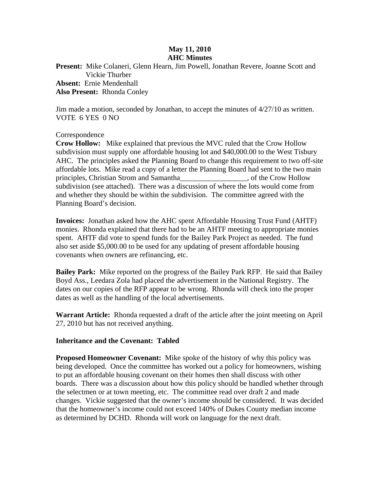## **May 11, 2010 AHC Minutes**

**Present:** Mike Colaneri, Glenn Hearn, Jim Powell, Jonathan Revere, Joanne Scott and Vickie Thurber **Absent:** Ernie Mendenhall **Also Present:** Rhonda Conley

Jim made a motion, seconded by Jonathan, to accept the minutes of 4/27/10 as written. VOTE 6 YES 0 NO

## Correspondence

**Crow Hollow:** Mike explained that previous the MVC ruled that the Crow Hollow subdivision must supply one affordable housing lot and \$40,000.00 to the West Tisbury AHC. The principles asked the Planning Board to change this requirement to two off-site affordable lots. Mike read a copy of a letter the Planning Board had sent to the two main principles, Christian Strom and Samantha\_\_\_\_\_\_\_\_\_\_\_\_\_\_\_\_\_\_, of the Crow Hollow subdivision (see attached). There was a discussion of where the lots would come from and whether they should be within the subdivision. The committee agreed with the Planning Board's decision.

**Invoices:** Jonathan asked how the AHC spent Affordable Housing Trust Fund (AHTF) monies. Rhonda explained that there had to be an AHTF meeting to appropriate monies spent. AHTF did vote to spend funds for the Bailey Park Project as needed. The fund also set aside \$5,000.00 to be used for any updating of present affordable housing covenants when owners are refinancing, etc.

**Bailey Park:** Mike reported on the progress of the Bailey Park RFP. He said that Bailey Boyd Ass., Leedara Zola had placed the advertisement in the National Registry. The dates on our copies of the RFP appear to be wrong. Rhonda will check into the proper dates as well as the handling of the local advertisements.

**Warrant Article:** Rhonda requested a draft of the article after the joint meeting on April 27, 2010 but has not received anything.

## **Inheritance and the Covenant: Tabled**

**Proposed Homeowner Covenant:** Mike spoke of the history of why this policy was being developed. Once the committee has worked out a policy for homeowners, wishing to put an affordable housing covenant on their homes then shall discuss with other boards. There was a discussion about how this policy should be handled whether through the selectmen or at town meeting, etc. The committee read over draft 2 and made changes. Vickie suggested that the owner's income should be considered. It was decided that the homeowner's income could not exceed 140% of Dukes County median income as determined by DCHD. Rhonda will work on language for the next draft.